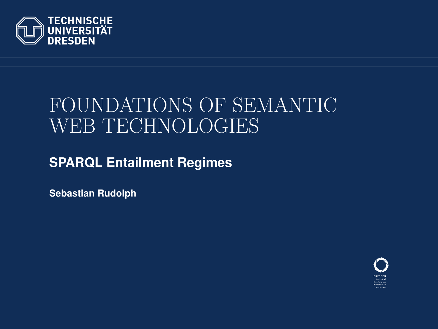<span id="page-0-0"></span>

## FOUNDATIONS OF SEMANTIC WEB TECHNOLOGIES

**SPARQL Entailment Regimes**

**Sebastian Rudolph**

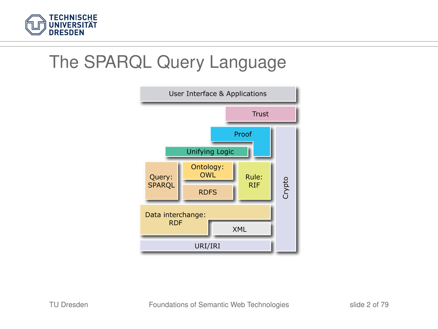

### The SPARQL Query Language

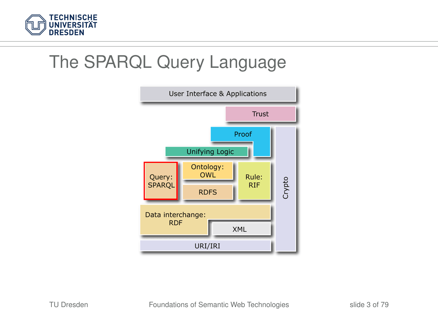

### The SPARQL Query Language

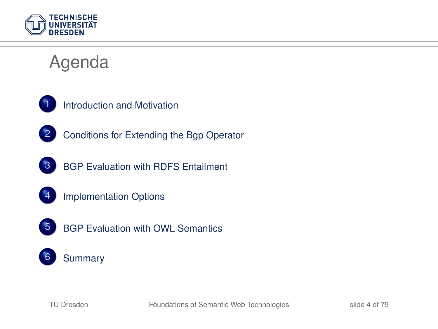

## Agenda



- [Introduction and Motivation](#page-4-0)
- 
- 2 [Conditions for Extending the Bgp Operator](#page-7-0)
- **3** [BGP Evaluation with RDFS Entailment](#page-19-0)
- 
- **[Implementation Options](#page-44-0)**
- 
- **5** [BGP Evaluation with OWL Semantics](#page-65-0)

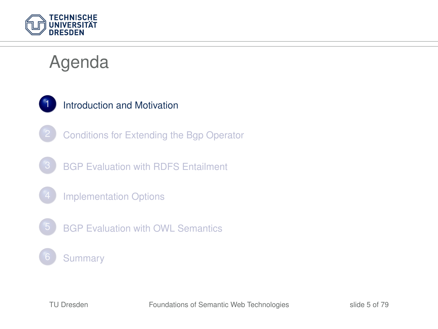<span id="page-4-0"></span>

## Agenda

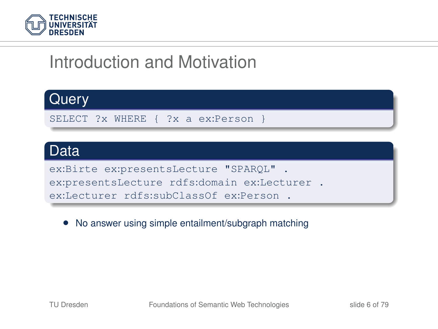

## Introduction and Motivation



ex:Lecturer rdfs:subClassOf ex:Person .

• No answer using simple entailment/subgraph matching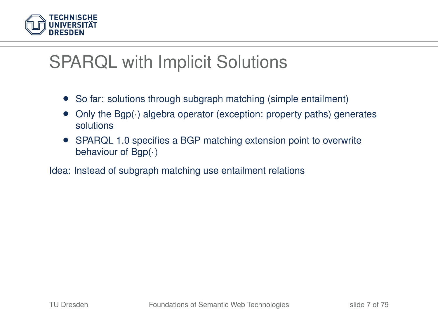

## SPARQL with Implicit Solutions

- So far: solutions through subgraph matching (simple entailment)
- Only the Bgp( $\cdot$ ) algebra operator (exception: property paths) generates solutions
- SPARQL 1.0 specifies a BGP matching extension point to overwrite behaviour of Bap( $\cdot$ )

Idea: Instead of subgraph matching use entailment relations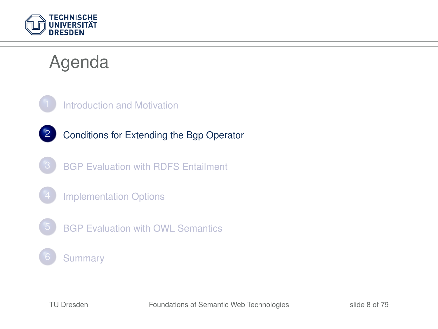<span id="page-7-0"></span>

## Agenda

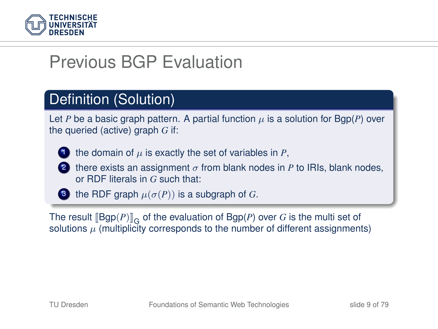

## Previous BGP Evaluation

### Definition (Solution)

Let *P* be a basic graph pattern. A partial function  $\mu$  is a solution for Bgp(*P*) over the queried (active) graph *G* if:



**1** the domain of  $\mu$  is exactly the set of variables in  $P$ ,

2 there exists an assignment  $\sigma$  from blank nodes in *P* to IRIs, blank nodes, or RDF literals in *G* such that:

3 the RDF graph  $\mu(\sigma(P))$  is a subgraph of *G*.

The result  $[\mathsf{Bgp}(P)]_{\mathsf{G}}$  of the evaluation of  $\mathsf{Bgp}(P)$  over *G* is the multi set of equations *u* (multiplicity corresponds to the number of different assignment solutions  $\mu$  (multiplicity corresponds to the number of different assignments)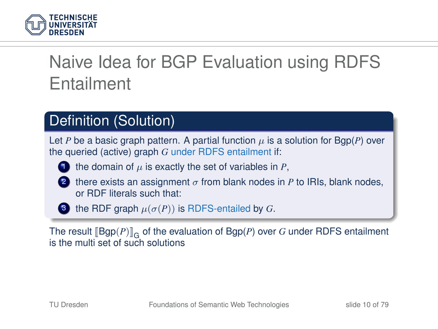

## Naive Idea for BGP Evaluation using RDFS Entailment

### Definition (Solution)

Let *P* be a basic graph pattern. A partial function  $\mu$  is a solution for Bgp(*P*) over the queried (active) graph *G* under RDFS entailment if:



- there exists an assignment  $\sigma$  from blank nodes in *P* to IRIs, blank nodes, or RDF literals such that:
- 3 the RDF graph  $\mu(\sigma(P))$  is RDFS-entailed by G.

The result [Bgp(*P*)]<sub>G</sub> of the evaluation of Bgp(*P*) over *G* under RDFS entailment<br>is the multi set of such solutions is the multi set of such solutions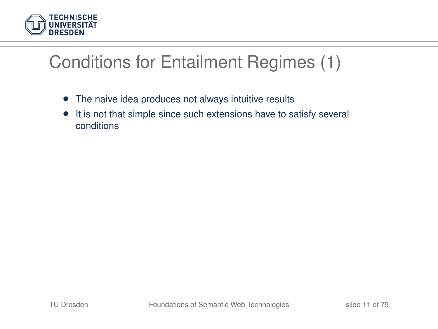

## Conditions for Entailment Regimes (1)

- The naive idea produces not always intuitive results
- It is not that simple since such extensions have to satisfy several conditions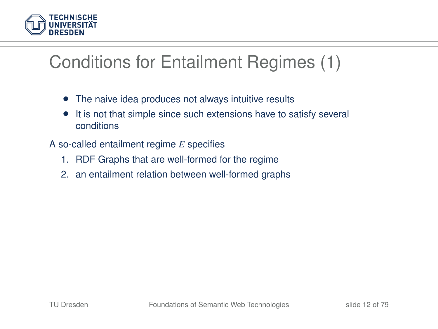

## Conditions for Entailment Regimes (1)

- The naive idea produces not always intuitive results
- It is not that simple since such extensions have to satisfy several conditions
- A so-called entailment regime *E* specifies
	- 1. RDF Graphs that are well-formed for the regime
	- 2. an entailment relation between well-formed graphs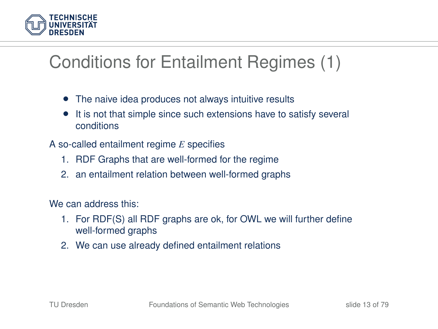

## Conditions for Entailment Regimes (1)

- The naive idea produces not always intuitive results
- It is not that simple since such extensions have to satisfy several conditions
- A so-called entailment regime *E* specifies
	- 1. RDF Graphs that are well-formed for the regime
	- 2. an entailment relation between well-formed graphs

We can address this:

- 1. For RDF(S) all RDF graphs are ok, for OWL we will further define well-formed graphs
- 2. We can use already defined entailment relations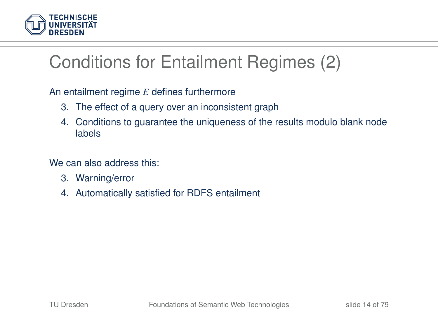

## Conditions for Entailment Regimes (2)

An entailment regime *E* defines furthermore

- 3. The effect of a query over an inconsistent graph
- 4. Conditions to guarantee the uniqueness of the results modulo blank node labels

We can also address this:

- 3. Warning/error
- 4. Automatically satisfied for RDFS entailment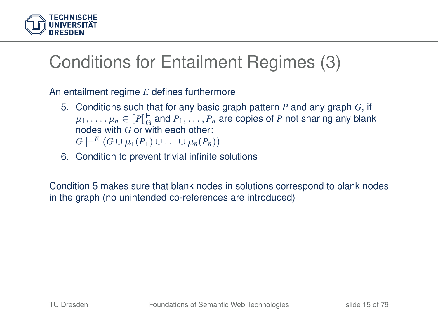

## Conditions for Entailment Regimes (3)

#### An entailment regime *E* defines furthermore

- 5. Conditions such that for any basic graph pattern *P* and any graph *G*, if  $\mu_1, \ldots, \mu_n \in \llbracket P \rrbracket^{\mathsf{E}}$  and  $P_1, \ldots, P_n$  are copies of  $P$  not sharing any blank<br>podes with  $G$  or with each other:  $\mu_1, \ldots, \mu_n \in \mathbb{I}^1 \mathbb{I}_G$  and  $\overline{I}_1, \ldots, \overline{I}_n$ <br>nodes with *G* or with each other:  $G \models^E (G \cup \mu_1(P_1) \cup \ldots \cup \mu_n(P_n))$
- 6. Condition to prevent trivial infinite solutions

Condition 5 makes sure that blank nodes in solutions correspond to blank nodes in the graph (no unintended co-references are introduced)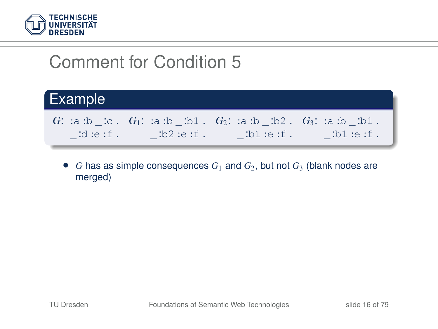



• *G* has as simple consequences  $G_1$  and  $G_2$ , but not  $G_3$  (blank nodes are merged)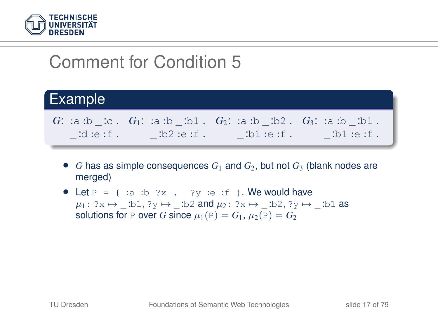

| Example |                                                                                                                                 |  |
|---------|---------------------------------------------------------------------------------------------------------------------------------|--|
|         | G: :a :b :c. $G_1$ : :a :b :b1. $G_2$ : :a :b :b2. $G_3$ : :a :b :b1.<br>$: d: e: f.$ $: b2: e: f.$ $: b1: e: f.$ $: b1: e: f.$ |  |

- *G* has as simple consequences  $G_1$  and  $G_2$ , but not  $G_3$  (blank nodes are merged)
- Let  $P = \{$  :a :b ?x . ?y :e :f }. We would have  $\mu_1$ : ?x  $\mapsto$  :b1, ?y  $\mapsto$  :b2 and  $\mu_2$ : ?x  $\mapsto$  :b2, ?y  $\mapsto$  :b1 as solutions for P over *G* since  $\mu_1(\mathbf{P}) = G_1$ ,  $\mu_2(\mathbf{P}) = G_2$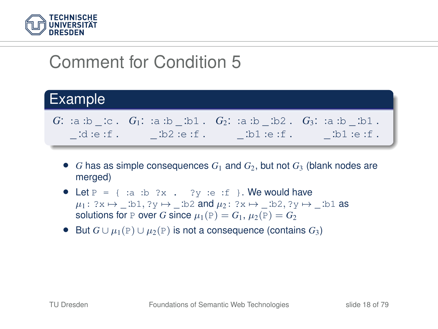

| Example |                                                                                                                                                                                                                                                                                                                                                                                        |  |
|---------|----------------------------------------------------------------------------------------------------------------------------------------------------------------------------------------------------------------------------------------------------------------------------------------------------------------------------------------------------------------------------------------|--|
|         | G: :a :b :c. $G_1$ : :a :b :b1. $G_2$ : :a :b :b2. $G_3$ : :a :b :b1.<br>$\det G$ : d:e:f. $\det G$ : $\det G$ : $\det G$ : $\det G$ : $\det G$ : $\det G$ : $\det G$ : $\det G$ : $\det G$ : $\det G$ : $\det G$ : $\det G$ : $\det G$ : $\det G$ : $\det G$ : $\det G$ : $\det G$ : $\det G$ : $\det G$ : $\det G$ : $\det G$ : $\det G$ : $\det G$ : $\det G$ : $\det G$ : $\det G$ |  |

- *G* has as simple consequences  $G_1$  and  $G_2$ , but not  $G_3$  (blank nodes are merged)
- Let  $P = \{$  :a :b ?x . ?y :e :f }. We would have  $\mu_1$ : ?x  $\mapsto$  :b1, ?y  $\mapsto$  :b2 and  $\mu_2$ : ?x  $\mapsto$  :b2, ?y  $\mapsto$  :b1 as solutions for P over *G* since  $\mu_1(\mathbf{P}) = G_1$ ,  $\mu_2(\mathbf{P}) = G_2$
- But  $G \cup \mu_1(\mathbb{P}) \cup \mu_2(\mathbb{P})$  is not a consequence (contains  $G_3$ )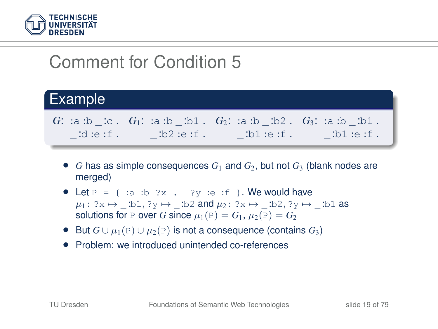

| Example |                                                                                                                                                                                                                                                                                                                                                                                        |  |
|---------|----------------------------------------------------------------------------------------------------------------------------------------------------------------------------------------------------------------------------------------------------------------------------------------------------------------------------------------------------------------------------------------|--|
|         | G: :a :b :c. $G_1$ : :a :b :b1. $G_2$ : :a :b :b2. $G_3$ : :a :b :b1.<br>$\det G$ : d:e:f. $\det G$ : $\det G$ : $\det G$ : $\det G$ : $\det G$ : $\det G$ : $\det G$ : $\det G$ : $\det G$ : $\det G$ : $\det G$ : $\det G$ : $\det G$ : $\det G$ : $\det G$ : $\det G$ : $\det G$ : $\det G$ : $\det G$ : $\det G$ : $\det G$ : $\det G$ : $\det G$ : $\det G$ : $\det G$ : $\det G$ |  |

- *G* has as simple consequences  $G_1$  and  $G_2$ , but not  $G_3$  (blank nodes are merged)
- Let  $P = \{$  :a :b ?x . ?y :e :f }. We would have  $\mu_1$ : ?x  $\mapsto$  :b1, ?y  $\mapsto$  :b2 and  $\mu_2$ : ?x  $\mapsto$  :b2, ?y  $\mapsto$  :b1 as solutions for P over *G* since  $\mu_1(\mathbf{P}) = G_1$ ,  $\mu_2(\mathbf{P}) = G_2$
- But  $G \cup \mu_1(\mathbb{P}) \cup \mu_2(\mathbb{P})$  is not a consequence (contains  $G_3$ )
- Problem: we introduced unintended co-references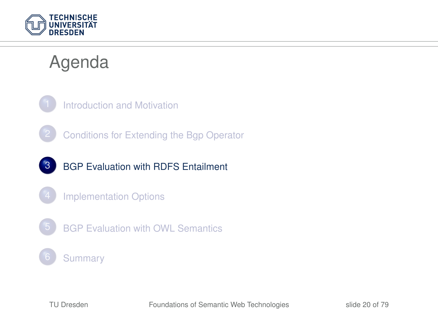<span id="page-19-0"></span>

## Agenda

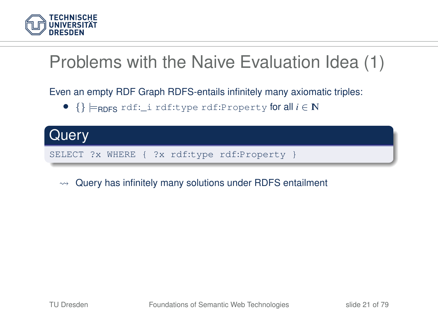

Even an empty RDF Graph RDFS-entails infinitely many axiomatic triples:

• {} |=RDFS rdf:\_i rdf:type rdf:Property for all *<sup>i</sup>* <sup>∈</sup> IN



 $\rightarrow$  Query has infinitely many solutions under RDFS entailment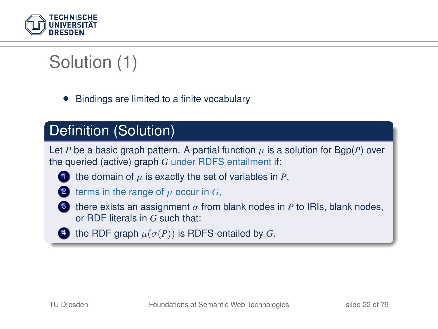

# Solution (1)

• Bindings are limited to a finite vocabulary

### Definition (Solution)

Let *P* be a basic graph pattern. A partial function  $\mu$  is a solution for Bgp(*P*) over the queried (active) graph *G* under RDFS entailment if:

- the domain of  $\mu$  is exactly the set of variables in  $P$ ,
- - terms in the range of  $\mu$  occur in  $G$ ,
- 

there exists an assignment  $\sigma$  from blank nodes in *P* to IRIs, blank nodes, or RDF literals in *G* such that:

the RDF graph  $\mu(\sigma(P))$  is RDFS-entailed by G.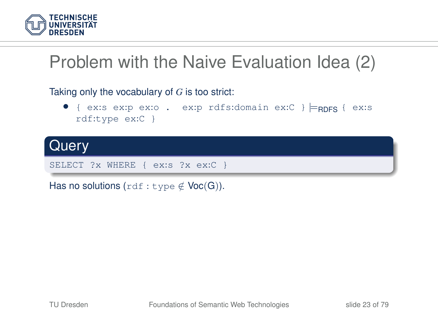

Taking only the vocabulary of *G* is too strict:

• { ex:s ex:p ex:o . ex:p rdfs:domain ex:C }  $\models$ RDFS { ex:s rdf:type ex:C }

**Query** SELECT ?x WHERE { ex:s ?x ex:C }

Has no solutions  $(\text{rdf}: \text{type} \notin \text{Voc}(G)).$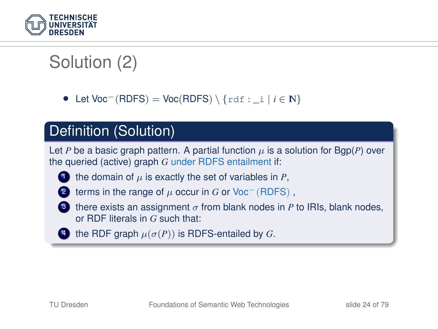

## Solution (2)

• Let Voc−(RDFS) = Voc(RDFS) \ {rdf : \_i | *i* ∈ IN}

### Definition (Solution)

Let *P* be a basic graph pattern. A partial function  $\mu$  is a solution for Bgp(*P*) over the queried (active) graph *G* under RDFS entailment if:

- the domain of  $\mu$  is exactly the set of variables in  $P$ ,
- 2 terms in the range of *μ* occur in *G* or Voc<sup>−</sup>(RDFS),
	- there exists an assignment  $\sigma$  from blank nodes in *P* to IRIs, blank nodes, or RDF literals in *G* such that:
	- the RDF graph  $\mu(\sigma(P))$  is RDFS-entailed by G.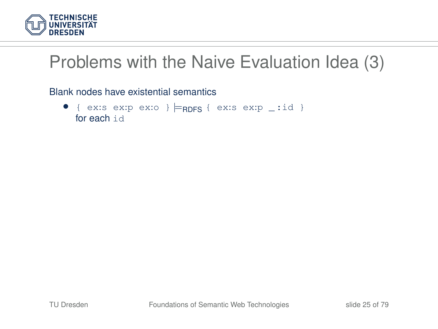

Blank nodes have existential semantics

• { ex:s ex:p ex:o }  $\models$ RDFS { ex:s ex:p \_:id } for each id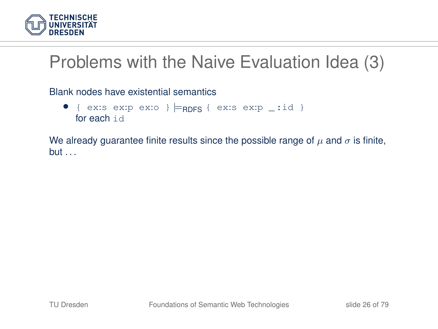

Blank nodes have existential semantics

• { ex:s ex:p ex:o }  $\models$ RDFS { ex:s ex:p \_:id } for each id

We already guarantee finite results since the possible range of  $\mu$  and  $\sigma$  is finite,  $but...$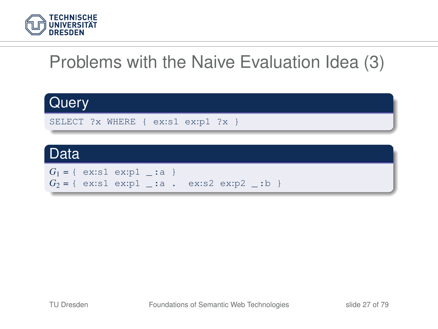



| $G_1 = \{ \text{ex:s1 ex:p1 } \_\text{sa} \}$   |  |  |  |  |
|-------------------------------------------------|--|--|--|--|
| $G_2 = \{ ex:s1 ex:p1 : a : ex:s2 ex:p2 : b \}$ |  |  |  |  |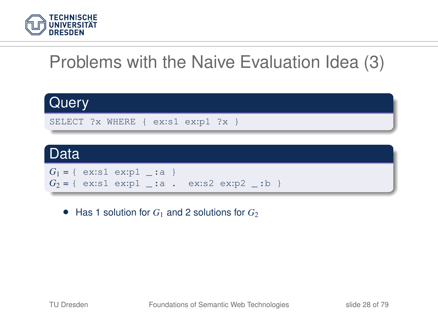



• Has 1 solution for  $G_1$  and 2 solutions for  $G_2$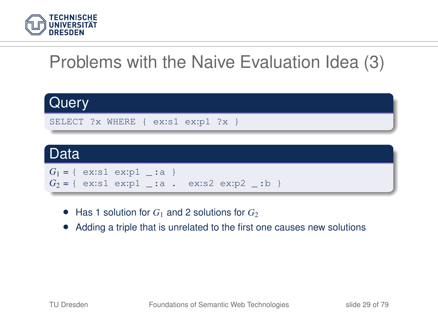



- Has 1 solution for  $G_1$  and 2 solutions for  $G_2$
- Adding a triple that is unrelated to the first one causes new solutions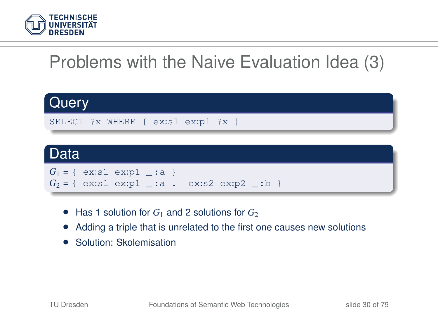



- Has 1 solution for  $G_1$  and 2 solutions for  $G_2$
- Adding a triple that is unrelated to the first one causes new solutions
- Solution: Skolemisation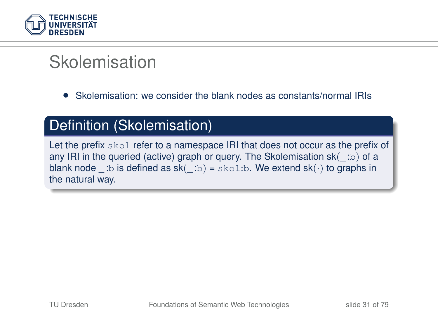

## Skolemisation

• Skolemisation: we consider the blank nodes as constants/normal IRIs

#### Definition (Skolemisation)

Let the prefix skol refer to a namespace IRI that does not occur as the prefix of any IRI in the queried (active) graph or query. The Skolemisation sk(\_ :b) of a blank node :b is defined as  $sk($  :b) = skol:b. We extend  $sk(\cdot)$  to graphs in the natural way.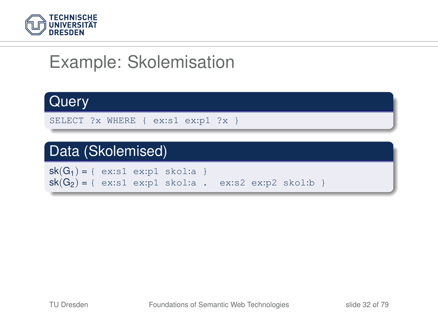

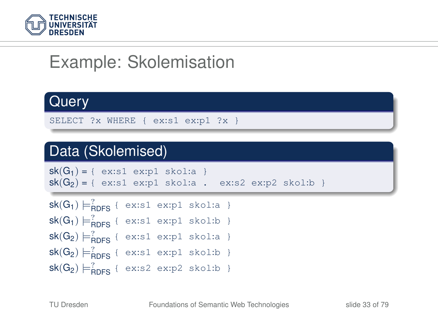

### **Query**

SELECT ?x WHERE { ex:s1 ex:p1 ?x }

### Data (Skolemised)

$$
sk(G_1) \models_{\text{RDFS}}^2 \{ \text{ex:s1 ex:p1 skol:a } \}
$$
\n
$$
sk(G_1) \models_{\text{RDFS}}^2 \{ \text{ex:s1 ex:p1 skol:b } \}
$$
\n
$$
sk(G_2) \models_{\text{RDFS}}^2 \{ \text{ex:s1 ex:p1 skol:a } \}
$$
\n
$$
sk(G_2) \models_{\text{RDFS}}^2 \{ \text{ex:s1 ex:p1 skol:b } \}
$$
\n
$$
sk(G_2) \models_{\text{RDFS}}^2 \{ \text{ex:s2 ex:p2 skol:b } \}
$$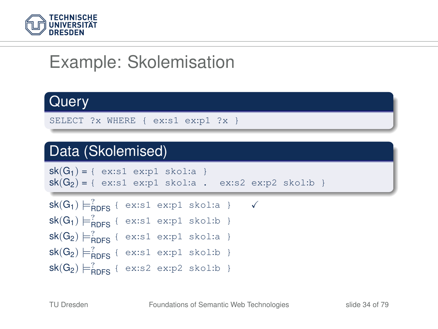

### **Query**

SELECT ?x WHERE { ex:s1 ex:p1 ?x }

### Data (Skolemised)

$$
sk(G_1) \models_{\text{RDFS}}^2 \{ \text{ex:s1 ex:p1 skol:a } \}
$$
  
\n
$$
sk(G_1) \models_{\text{RDFS}}^2 \{ \text{ex:s1 ex:p1 skol:b } \}
$$
  
\n
$$
sk(G_2) \models_{\text{RDFS}}^2 \{ \text{ex:s1 ex:p1 skol:a } \}
$$
  
\n
$$
sk(G_2) \models_{\text{RDFS}}^2 \{ \text{ex:s1 ex:p1 skol:b } \}
$$
  
\n
$$
sk(G_2) \models_{\text{RDFS}}^2 \{ \text{ex:s2 ex:p2 skol:b } \}
$$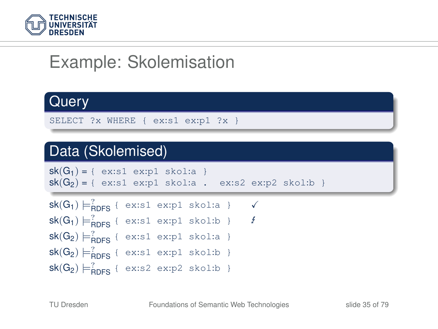

### **Query**

SELECT ?x WHERE { ex:s1 ex:p1 ?x }

### Data (Skolemised)

$$
sk(G_1) \models_{\text{RDFS}}^2 \{ \text{ex:s1 ex:p1 skol:a } \} \checkmark
$$
\n
$$
sk(G_1) \models_{\text{RDFS}}^2 \{ \text{ex:s1 ex:p1 skol:b } \} \neq
$$
\n
$$
sk(G_2) \models_{\text{RDFS}}^2 \{ \text{ex:s1 ex:p1 skol:a } \}
$$
\n
$$
sk(G_2) \models_{\text{RDFS}}^2 \{ \text{ex:s1 ex:p1 skol:b } \}
$$
\n
$$
sk(G_2) \models_{\text{RDFS}}^2 \{ \text{ex:s2 ex:p2 skol:b } \}
$$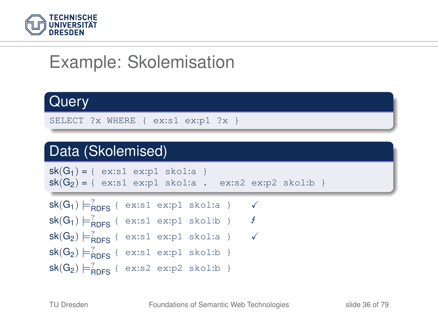

### **Query**

SELECT ?x WHERE { ex:s1 ex:p1 ?x }

### Data (Skolemised)

$$
sk(G_1) \models_{\text{RDFS}}^2 \{ \text{ex:s1 ex:p1 skol:a } \} \checkmark
$$
\n
$$
sk(G_1) \models_{\text{RDFS}}^2 \{ \text{ex:s1 ex:p1 skol:b } \} \sharp
$$
\n
$$
sk(G_2) \models_{\text{RDFS}}^2 \{ \text{ex:s1 ex:p1 skol:a } \} \checkmark
$$
\n
$$
sk(G_2) \models_{\text{RDFS}}^2 \{ \text{ex:s1 ex:p1 skol:b } \} \}
$$
\n
$$
sk(G_2) \models_{\text{RDFS}}^2 \{ \text{ex:s2 ex:p2 skol:b } \}
$$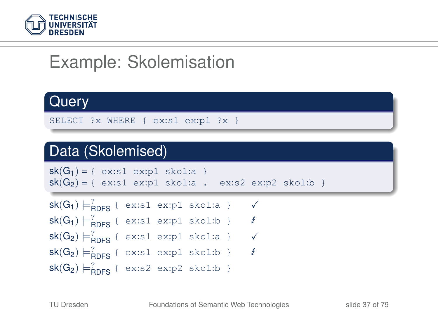

### Example: Skolemisation

#### **Query**

SELECT ?x WHERE { ex:s1 ex:p1 ?x }

#### Data (Skolemised)

 $sk(G_1) = \{ ex:s1 ex:p1 skol:a \}$  $sk(G_2) = \{ ex:s1 ex:p1 skol:a . ex:s2 ex:p2 skol:b \}$ 

$$
sk(G_1) \models_{\text{RDFS}}^2 \{ \text{ex:s1 ex:p1 skol:a } \}
$$
\n
$$
sk(G_1) \models_{\text{RDFS}}^2 \{ \text{ex:s1 ex:p1 skol:b } \}
$$
\n
$$
sk(G_2) \models_{\text{RDFS}}^2 \{ \text{ex:s1 ex:p1 skol:a } \}
$$
\n
$$
sk(G_2) \models_{\text{RDFS}}^2 \{ \text{ex:s1 ex:p1 skol:b } \}
$$
\n
$$
sk(G_2) \models_{\text{RDFS}}^2 \{ \text{ex:s2 ex:p2 skol:b } \}
$$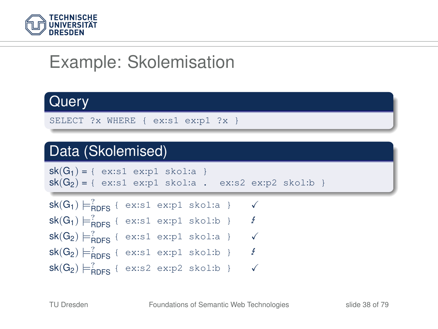

### Example: Skolemisation

#### **Query**

SELECT ?x WHERE { ex:s1 ex:p1 ?x }

#### Data (Skolemised)

 $sk(G_1) = \{ ex:s1 ex:p1 skol:a \}$  $sk(G_2) = \{ ex:s1 ex:p1 skol:a . ex:s2 ex:p2 skol:b \}$ 

$$
sk(G_1) \models_{RDFS}^2 \{ \text{ex:s1 ex:p1 skol:a } \} \checkmark
$$
\n
$$
sk(G_1) \models_{RDFS}^2 \{ \text{ex:s1 ex:p1 skol:b } \} \sharp
$$
\n
$$
sk(G_2) \models_{RDFS}^2 \{ \text{ex:s1 ex:p1 skol:a } \} \checkmark
$$
\n
$$
sk(G_2) \models_{RDFS}^2 \{ \text{ex:s1 ex:p1 skol:b } \} \sharp
$$
\n
$$
sk(G_2) \models_{RDFS}^2 \{ \text{ex:s2 ex:p2 skol:b } \} \checkmark
$$

TU Dresden [Foundations of Semantic Web Technologies](#page-0-0) slide 38 of 79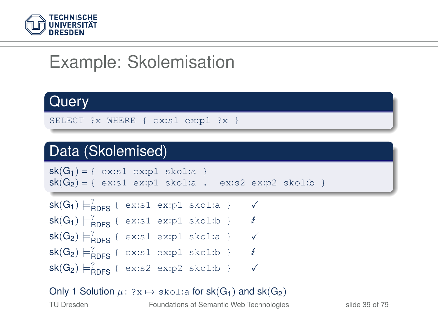

### Example: Skolemisation

#### **Query**

SELECT ?x WHERE { ex:s1 ex:p1 ?x }

#### Data (Skolemised)

 $sk(G_1) = \{ ex:s1 ex:p1 skol:a \}$  $sk(G_2) = \{ ex:s1 ex:p1 skol:a . ex:s2 ex:p2 skol:b \}$ 

$$
sk(G_1) \models_{\text{RDFS}}^2 \{ \text{ex:s1 ex:p1 skol:a } \} \checkmark
$$
\n
$$
sk(G_1) \models_{\text{RDFS}}^2 \{ \text{ex:s1 ex:p1 skol:b } \} \sharp
$$
\n
$$
sk(G_2) \models_{\text{RDFS}}^2 \{ \text{ex:s1 ex:p1 skol:a } \} \checkmark
$$
\n
$$
sk(G_2) \models_{\text{RDFS}}^2 \{ \text{ex:s1 ex:p1 skol:b } \} \sharp
$$
\n
$$
sk(G_2) \models_{\text{RDFS}}^2 \{ \text{ex:s2 ex:p2 skol:b } \} \checkmark
$$

Only 1 Solution  $\mu: ?\mathbf{x} \mapsto \mathbf{skol}:$  and  $sk(G_1)$  and  $sk(G_2)$ 

TU Dresden [Foundations of Semantic Web Technologies](#page-0-0) slide 39 of 79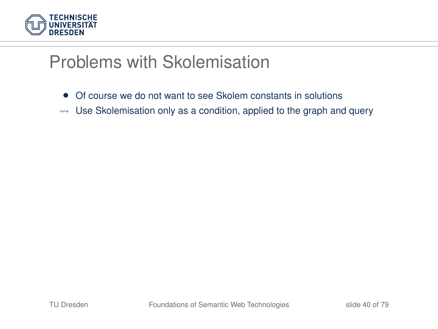

#### Problems with Skolemisation

- Of course we do not want to see Skolem constants in solutions
- $\rightarrow$  Use Skolemisation only as a condition, applied to the graph and query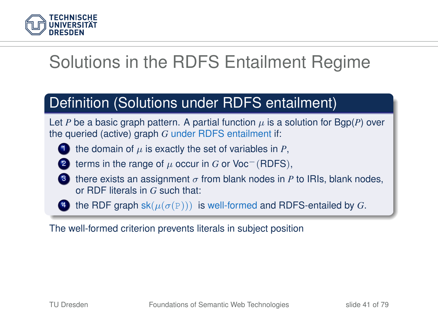

### Solutions in the RDFS Entailment Regime

#### Definition (Solutions under RDFS entailment)

Let *P* be a basic graph pattern. A partial function  $\mu$  is a solution for Bgp(*P*) over the queried (active) graph *G* under RDFS entailment if:



- the domain of  $\mu$  is exactly the set of variables in  $P$ ,
- terms in the range of  $\mu$  occur in *G* or Voc<sup>−</sup>(RDFS),
- there exists an assignment  $\sigma$  from blank nodes in *P* to IRIs, blank nodes, or RDF literals in *G* such that:
- the RDF graph  $sk(\mu(\sigma(P)))$  is well-formed and RDFS-entailed by G.

The well-formed criterion prevents literals in subject position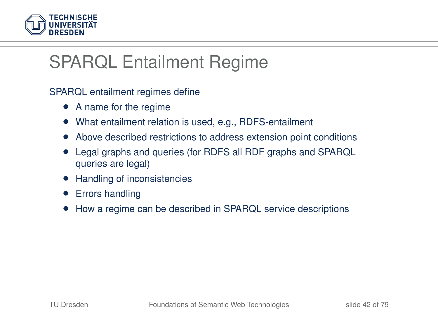

#### SPARQL Entailment Regime

SPARQL entailment regimes define

- A name for the regime
- What entailment relation is used, e.g., RDFS-entailment
- Above described restrictions to address extension point conditions
- Legal graphs and queries (for RDFS all RDF graphs and SPARQL queries are legal)
- Handling of inconsistencies
- Errors handling
- How a regime can be described in SPARQL service descriptions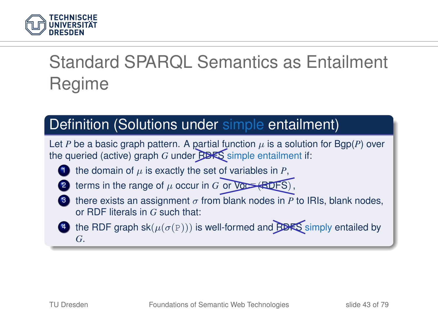

# Standard SPARQL Semantics as Entailment Regime

#### Definition (Solutions under simple entailment)

Let *P* be a basic graph pattern. A partial function  $\mu$  is a solution for Bgp(*P*) over the queried (active) graph *G* under RDFS simple entailment if:

- the domain of  $\mu$  is exactly the set of variables in  $P$ ,
- terms in the range of  $\mu$  occur in  $G$  or Voc $\rightarrow$ (RDFS)
- there exists an assignment  $\sigma$  from blank nodes in *P* to IRIs, blank nodes, or RDF literals in *G* such that:
- the RDF graph  $sk(\mu(\sigma(P)))$  is well-formed and BDFS simply entailed by *G*.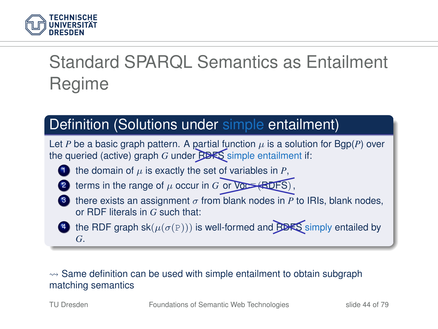

# Standard SPARQL Semantics as Entailment Regime



#### $\rightsquigarrow$  Same definition can be used with simple entailment to obtain subgraph matching semantics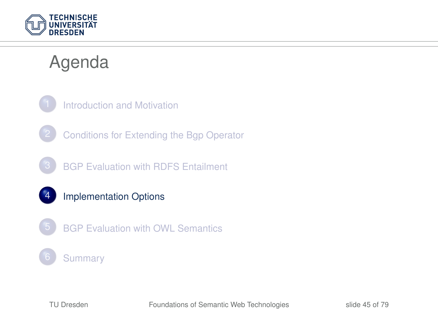<span id="page-44-0"></span>

#### Agenda

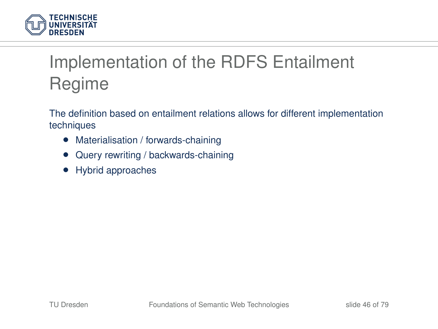

# Implementation of the RDFS Entailment Regime

The definition based on entailment relations allows for different implementation techniques

- Materialisation / forwards-chaining
- Query rewriting / backwards-chaining
- Hybrid approaches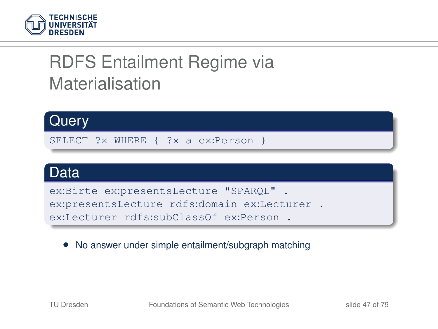



• No answer under simple entailment/subgraph matching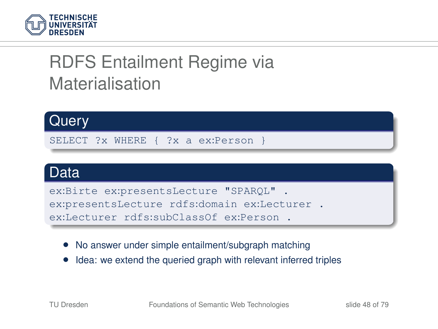



- No answer under simple entailment/subgraph matching
- Idea: we extend the queried graph with relevant inferred triples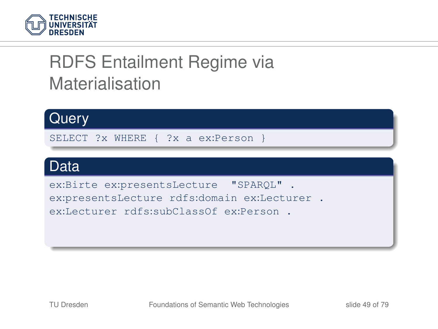

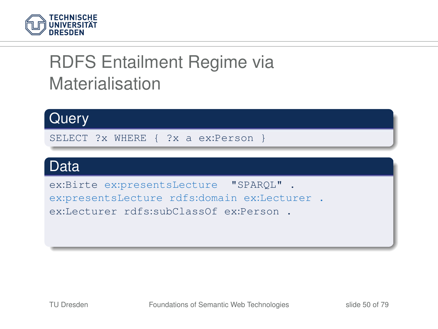

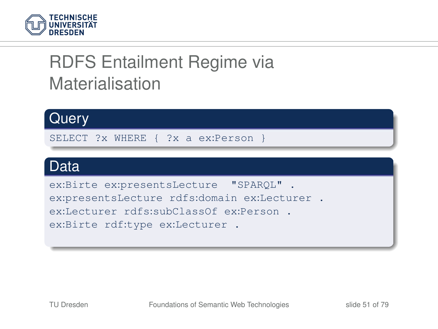

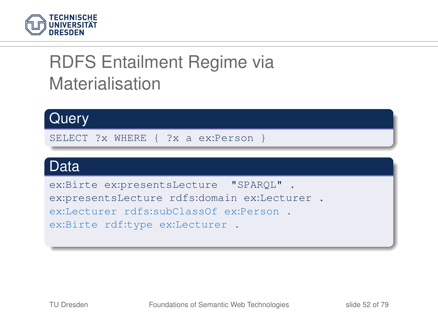

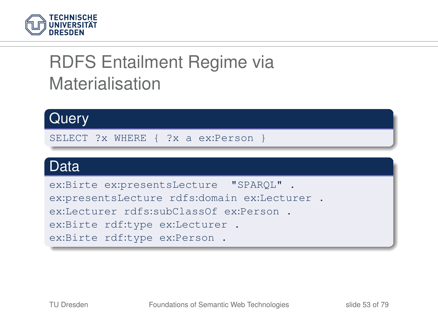

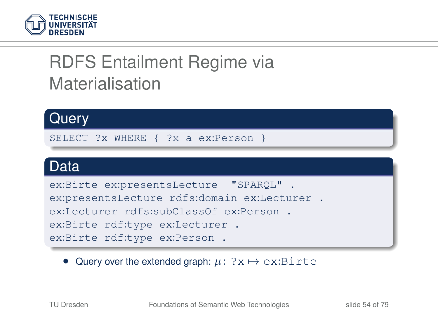



• Query over the extended graph:  $\mu$ : ? $x \mapsto e$ x:Birte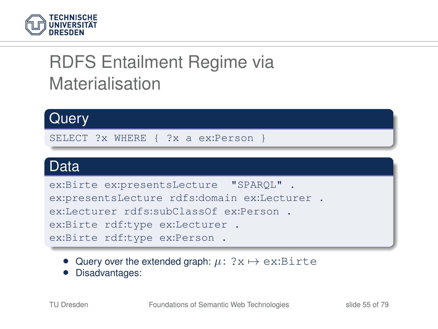



- Query over the extended graph:  $\mu$ : ? $x \mapsto e$ x:Birte
- Disadvantages: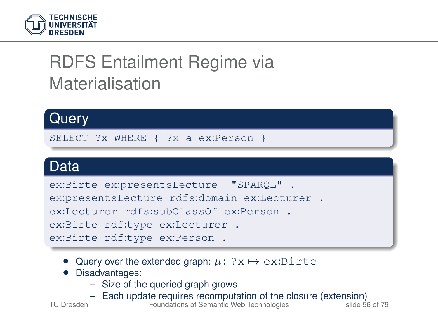



- Query over the extended graph:  $\mu$ : ? $x \mapsto e$ x:Birte
- Disadvantages:
	- Size of the queried graph grows
	- Each update requires recomputation of the closure (extension)<br>Foundations of Semantic Web Technologies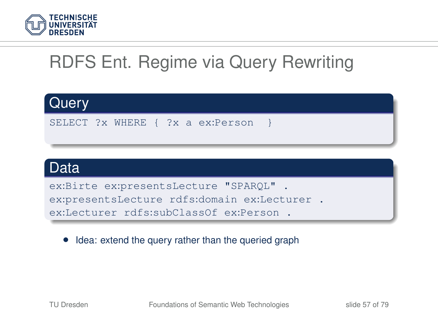





• Idea: extend the query rather than the queried graph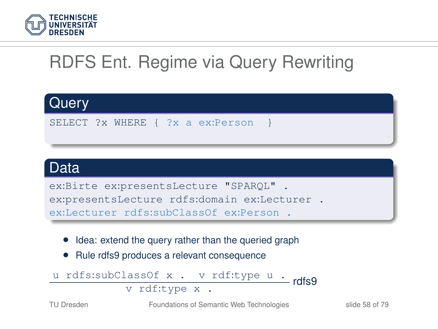





- Idea: extend the query rather than the queried graph
- Rule rdfs9 produces a relevant consequence

u rdfs:subClassOf x . v rdf:type u . rdfs9 v rdf:type x .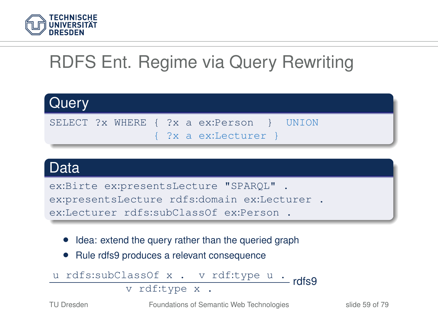





- Idea: extend the query rather than the queried graph
- Rule rdfs9 produces a relevant consequence

u rdfs:subClassOf x . v rdf:type u . rdfs9 v rdf:type x .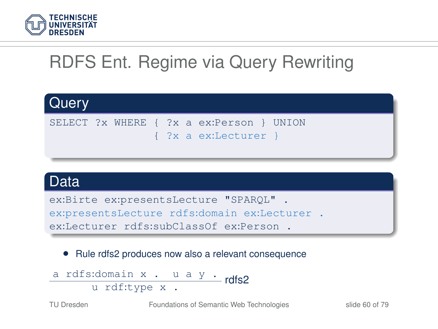



#### Data

ex:Birte ex:presentsLecture "SPARQL" . ex:presentsLecture rdfs:domain ex:Lecturer . ex:Lecturer rdfs:subClassOf ex:Person .

• Rule rdfs2 produces now also a relevant consequence

a rdfs:domain x . u a y . rdfs2 u rdf:type x .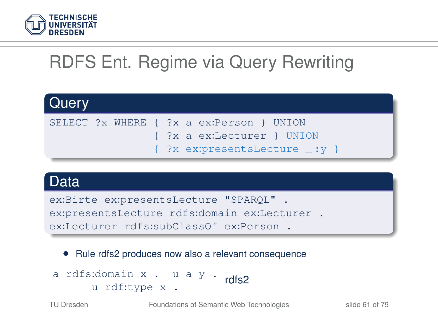

| <b>Query</b> |  |                                           |  |
|--------------|--|-------------------------------------------|--|
|              |  | SELECT ?x WHERE { ?x a ex: Person } UNION |  |
|              |  | { ?x a ex:Lecturer } UNION                |  |
|              |  | { ?x ex:presentsLecture :v }              |  |

#### Data

ex:Birte ex:presentsLecture "SPARQL" . ex:presentsLecture rdfs:domain ex:Lecturer . ex:Lecturer rdfs:subClassOf ex:Person .

• Rule rdfs2 produces now also a relevant consequence

a rdfs:domain x . u a y . rdfs2 u rdf:type x .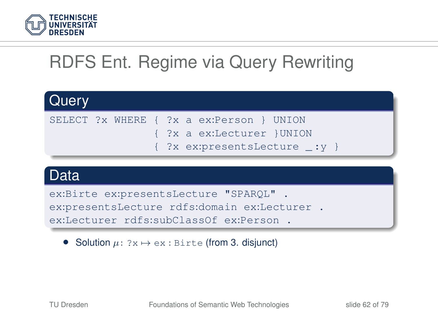



#### Data

ex:Birte ex:presentsLecture "SPARQL" . ex:presentsLecture rdfs:domain ex:Lecturer . ex:Lecturer rdfs:subClassOf ex:Person .

• Solution  $\mu: ?\mathbf{x} \mapsto \mathbf{e}\mathbf{x}$ : Birte (from 3. disjunct)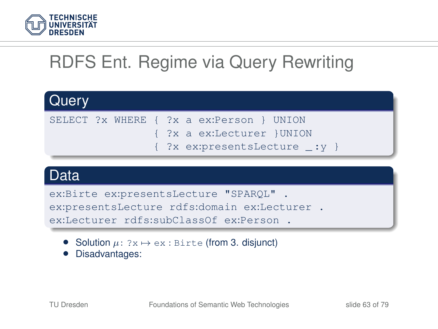



#### Data

ex:Birte ex:presentsLecture "SPARQL" . ex:presentsLecture rdfs:domain ex:Lecturer . ex:Lecturer rdfs:subClassOf ex:Person .

- Solution  $\mu: ?\mathbf{x} \mapsto \mathbf{e}\mathbf{x}$ : Birte (from 3. disjunct)
- Disadvantages: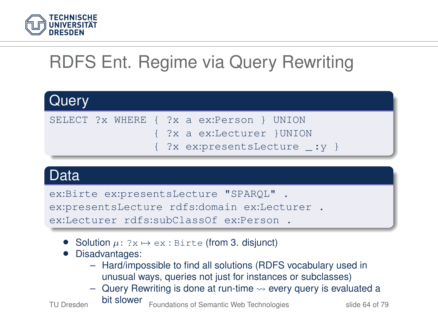

| <b>Query</b> |  |                                         |                                          |  |
|--------------|--|-----------------------------------------|------------------------------------------|--|
|              |  |                                         | SELECT ?x WHERE { ?x a ex:Person } UNION |  |
|              |  |                                         | { ?x a ex:Lecturer } UNION               |  |
|              |  | $\{$ ?x ex:presentsLecture $\_$ :y $\}$ |                                          |  |

#### Data

ex:Birte ex:presentsLecture "SPARQL" . ex:presentsLecture rdfs:domain ex:Lecturer . ex:Lecturer rdfs:subClassOf ex:Person .

- Solution  $\mu: ?\mathbf{x} \mapsto \mathbf{e}\mathbf{x}$ : Birte (from 3. disjunct)
- Disadvantages:
	- Hard/impossible to find all solutions (RDFS vocabulary used in unusual ways, queries not just for instances or subclasses)
- Query Rewriting is done at run-time  $\rightsquigarrow$  every query is evaluated a TU Dresden **bit slower** [Foundations of Semantic Web Technologies](#page-0-0) slide 64 of 79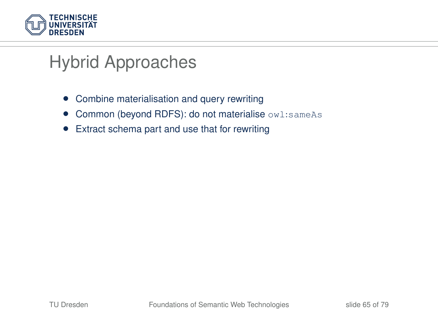

#### Hybrid Approaches

- Combine materialisation and query rewriting
- Common (beyond RDFS): do not materialise owl:sameAs
- Extract schema part and use that for rewriting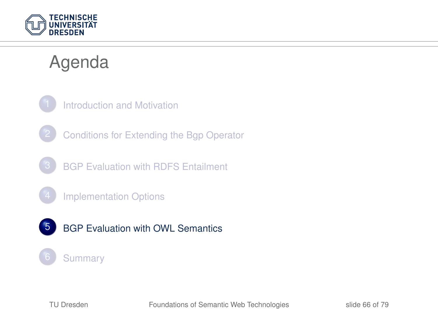<span id="page-65-0"></span>

#### Agenda

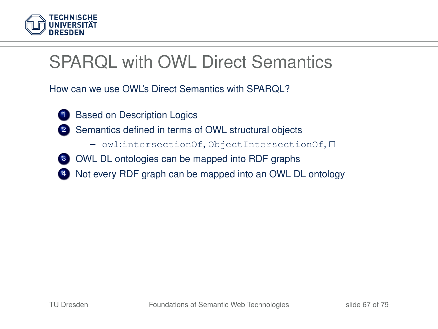

How can we use OWL's Direct Semantics with SPARQL?

- **Based on Description Logics**
- 2 Semantics defined in terms of OWL structural objects
	- $-$  owl:intersectionOf, ObjectIntersectionOf,  $\Pi$
- 3 OWL DL ontologies can be mapped into RDF graphs
- 4 Not every RDF graph can be mapped into an OWL DL ontology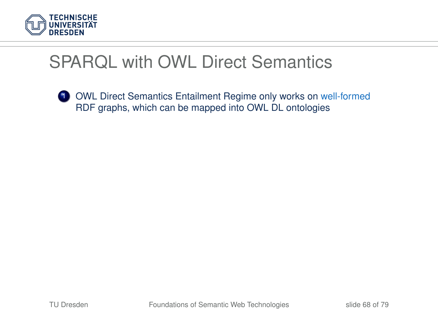

1 OWL Direct Semantics Entailment Regime only works on well-formed RDF graphs, which can be mapped into OWL DL ontologies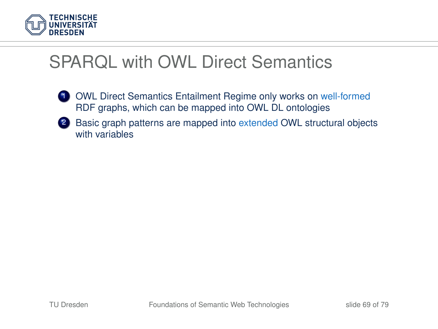

- 1 OWL Direct Semantics Entailment Regime only works on well-formed RDF graphs, which can be mapped into OWL DL ontologies
- 2 Basic graph patterns are mapped into extended OWL structural objects with variables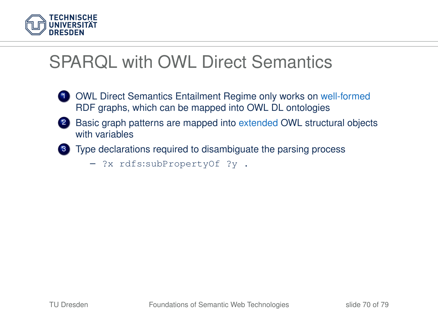

- 1 OWL Direct Semantics Entailment Regime only works on well-formed RDF graphs, which can be mapped into OWL DL ontologies
- 2 Basic graph patterns are mapped into extended OWL structural objects with variables
- 3 Type declarations required to disambiguate the parsing process
	- ?x rdfs:subPropertyOf ?y .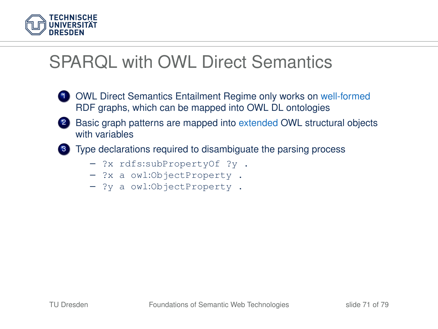

- **1** OWL Direct Semantics Entailment Regime only works on well-formed RDF graphs, which can be mapped into OWL DL ontologies
- 2 Basic graph patterns are mapped into extended OWL structural objects with variables
- 3 Type declarations required to disambiguate the parsing process
	- ?x rdfs:subPropertyOf ?y .
	- ?x a owl:ObjectProperty .
	- ?y a owl:ObjectProperty .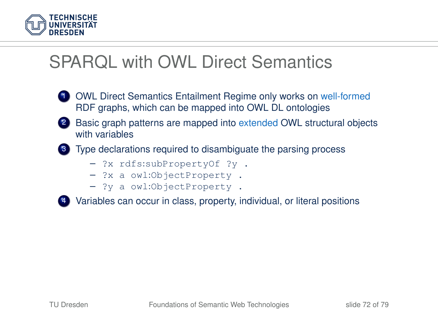

- **1** OWL Direct Semantics Entailment Regime only works on well-formed RDF graphs, which can be mapped into OWL DL ontologies
- 2 Basic graph patterns are mapped into extended OWL structural objects with variables
- 3 Type declarations required to disambiguate the parsing process
	- ?x rdfs:subPropertyOf ?y .
	- ?x a owl:ObjectProperty .
	- ?y a owl:ObjectProperty .

4 Variables can occur in class, property, individual, or literal positions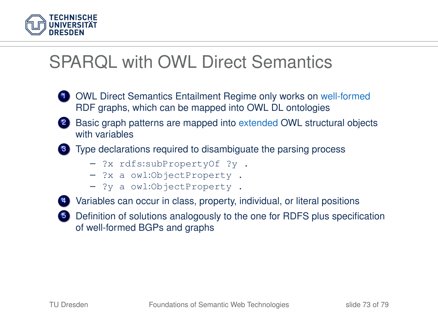

### SPARQL with OWL Direct Semantics

- **1** OWL Direct Semantics Entailment Regime only works on well-formed RDF graphs, which can be mapped into OWL DL ontologies
- 2 Basic graph patterns are mapped into extended OWL structural objects with variables
- 3 Type declarations required to disambiguate the parsing process
	- ?x rdfs:subPropertyOf ?y .
	- ?x a owl:ObjectProperty .
	- ?y a owl:ObjectProperty .
- 4 Variables can occur in class, property, individual, or literal positions
	- 5 Definition of solutions analogously to the one for RDFS plus specification of well-formed BGPs and graphs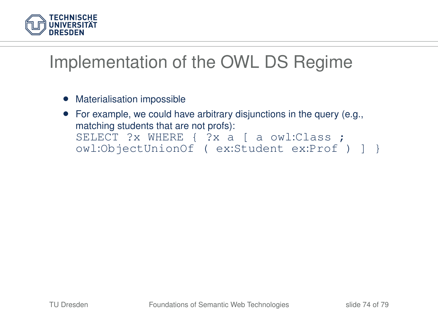

# Implementation of the OWL DS Regime

- Materialisation impossible
- For example, we could have arbitrary disjunctions in the query (e.g., matching students that are not profs): SELECT ?x WHERE { ?x a | a owl:Class ; owl:ObjectUnionOf ( ex:Student ex:Prof ) ] }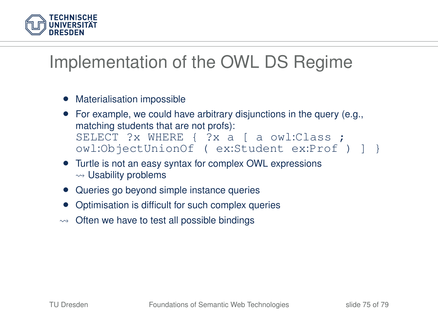

# Implementation of the OWL DS Regime

- Materialisation impossible
- For example, we could have arbitrary disjunctions in the query (e.g., matching students that are not profs): SELECT ?x WHERE { ?x a [ a owl:Class ; owl:ObjectUnionOf ( ex:Student ex:Prof ) ] }
- Turtle is not an easy syntax for complex OWL expressions  $\rightsquigarrow$  Usability problems
- Queries go beyond simple instance queries
- Optimisation is difficult for such complex queries
- $\rightarrow$  Often we have to test all possible bindings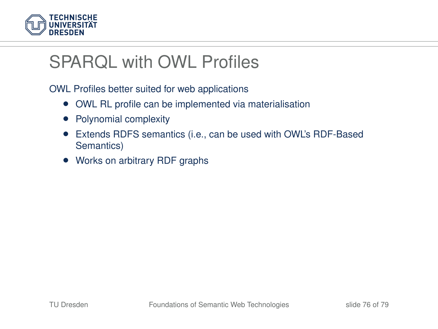

### SPARQL with OWL Profiles

OWL Profiles better suited for web applications

- OWL RL profile can be implemented via materialisation
- Polynomial complexity
- Extends RDFS semantics (i.e., can be used with OWL's RDF-Based Semantics)
- Works on arbitrary RDF graphs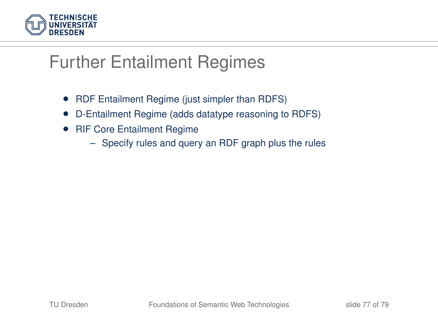

### Further Entailment Regimes

- RDF Entailment Regime (just simpler than RDFS)
- D-Entailment Regime (adds datatype reasoning to RDFS)
- RIF Core Entailment Regime
	- Specify rules and query an RDF graph plus the rules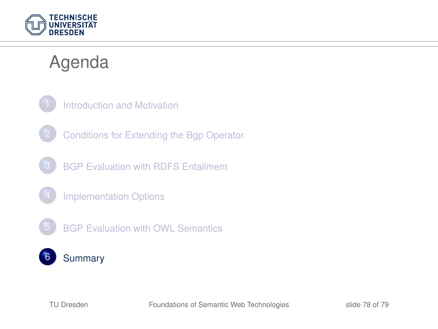<span id="page-77-0"></span>

# Agenda